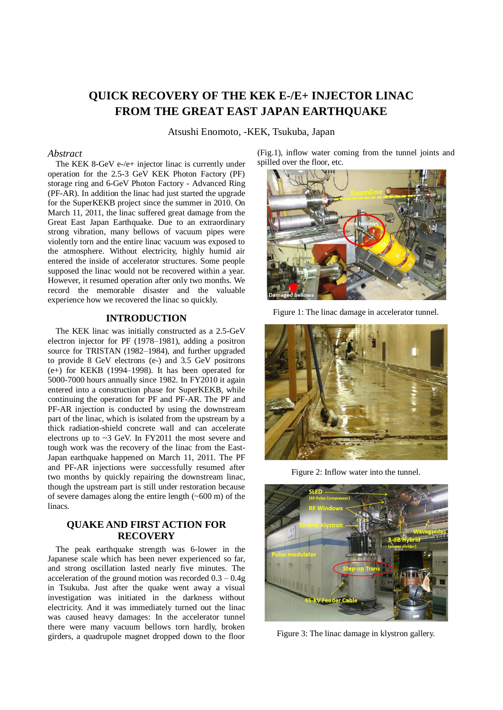# **QUICK RECOVERY OF THE KEK E-/E+ INJECTOR LINAC FROM THE GREAT EAST JAPAN EARTHQUAKE**

Atsushi Enomoto, -KEK, Tsukuba, Japan

#### *Abstract*

The KEK 8-GeV e-/e+ injector linac is currently under operation for the 2.5-3 GeV KEK Photon Factory (PF) storage ring and 6-GeV Photon Factory - Advanced Ring (PF-AR). In addition the linac had just started the upgrade for the SuperKEKB project since the summer in 2010. On March 11, 2011, the linac suffered great damage from the Great East Japan Earthquake. Due to an extraordinary strong vibration, many bellows of vacuum pipes were violently torn and the entire linac vacuum was exposed to the atmosphere. Without electricity, highly humid air entered the inside of accelerator structures. Some people supposed the linac would not be recovered within a year. However, it resumed operation after only two months. We record the memorable disaster and the valuable experience how we recovered the linac so quickly.

#### **INTRODUCTION**

The KEK linac was initially constructed as a 2.5-GeV electron injector for PF (1978–1981), adding a positron source for TRISTAN (1982–1984), and further upgraded to provide 8 GeV electrons (e-) and 3.5 GeV positrons (e+) for KEKB (1994–1998). It has been operated for 5000-7000 hours annually since 1982. In FY2010 it again entered into a construction phase for SuperKEKB, while continuing the operation for PF and PF-AR. The PF and PF-AR injection is conducted by using the downstream part of the linac, which is isolated from the upstream by a thick radiation-shield concrete wall and can accelerate electrons up to ~3 GeV. In FY2011 the most severe and tough work was the recovery of the linac from the East-Japan earthquake happened on March 11, 2011. The PF and PF-AR injections were successfully resumed after two months by quickly repairing the downstream linac, though the upstream part is still under restoration because of severe damages along the entire length  $(\sim 600 \text{ m})$  of the linacs.

## **QUAKE AND FIRST ACTION FOR RECOVERY**

The peak earthquake strength was 6-lower in the Japanese scale which has been never experienced so far, and strong oscillation lasted nearly five minutes. The acceleration of the ground motion was recorded 0.3 – 0.4g in Tsukuba. Just after the quake went away a visual investigation was initiated in the darkness without electricity. And it was immediately turned out the linac was caused heavy damages: In the accelerator tunnel there were many vacuum bellows torn hardly, broken girders, a quadrupole magnet dropped down to the floor

(Fig.1), inflow water coming from the tunnel joints and spilled over the floor, etc.



Figure 1: The linac damage in accelerator tunnel.



Figure 2: Inflow water into the tunnel.



Figure 3: The linac damage in klystron gallery.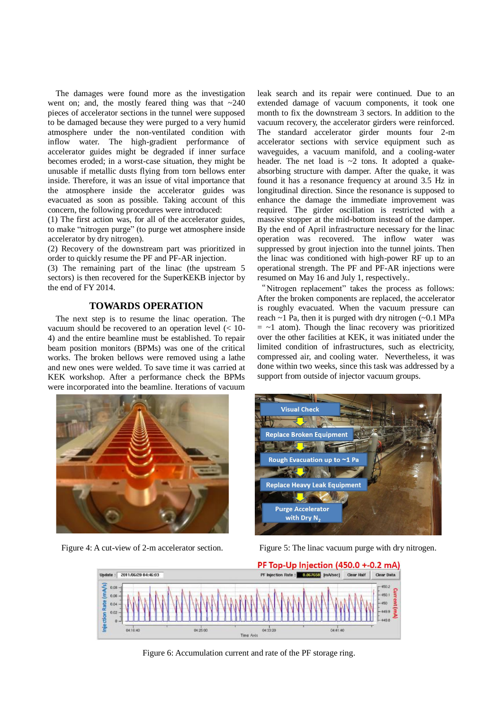The damages were found more as the investigation went on; and, the mostly feared thing was that  $\sim$ 240 pieces of accelerator sections in the tunnel were supposed to be damaged because they were purged to a very humid atmosphere under the non-ventilated condition with inflow water. The high-gradient performance of accelerator guides might be degraded if inner surface becomes eroded; in a worst-case situation, they might be unusable if metallic dusts flying from torn bellows enter inside. Therefore, it was an issue of vital importance that the atmosphere inside the accelerator guides was evacuated as soon as possible. Taking account of this concern, the following procedures were introduced:

(1) The first action was, for all of the accelerator guides, to make "nitrogen purge" (to purge wet atmosphere inside accelerator by dry nitrogen).

(2) Recovery of the downstream part was prioritized in order to quickly resume the PF and PF-AR injection.

(3) The remaining part of the linac (the upstream 5 sectors) is then recovered for the SuperKEKB injector by the end of FY 2014.

## **TOWARDS OPERATION**

The next step is to resume the linac operation. The vacuum should be recovered to an operation level (< 10- 4) and the entire beamline must be established. To repair beam position monitors (BPMs) was one of the critical works. The broken bellows were removed using a lathe and new ones were welded. To save time it was carried at KEK workshop. After a performance check the BPMs were incorporated into the beamline. Iterations of vacuum

leak search and its repair were continued. Due to an extended damage of vacuum components, it took one month to fix the downstream 3 sectors. In addition to the vacuum recovery, the accelerator girders were reinforced. The standard accelerator girder mounts four 2-m accelerator sections with service equipment such as waveguides, a vacuum manifold, and a cooling-water header. The net load is  $\sim$ 2 tons. It adopted a quakeabsorbing structure with damper. After the quake, it was found it has a resonance frequency at around 3.5 Hz in longitudinal direction. Since the resonance is supposed to enhance the damage the immediate improvement was required. The girder oscillation is restricted with a massive stopper at the mid-bottom instead of the damper. By the end of April infrastructure necessary for the linac operation was recovered. The inflow water was suppressed by grout injection into the tunnel joints. Then the linac was conditioned with high-power RF up to an operational strength. The PF and PF-AR injections were resumed on May 16 and July 1, respectively..

"Nitrogen replacement" takes the process as follows: After the broken components are replaced, the accelerator is roughly evacuated. When the vacuum pressure can reach  $\sim$  1 Pa, then it is purged with dry nitrogen ( $\sim$ 0.1 MPa  $=$  ~1 atom). Though the linac recovery was prioritized over the other facilities at KEK, it was initiated under the limited condition of infrastructures, such as electricity, compressed air, and cooling water. Nevertheless, it was done within two weeks, since this task was addressed by a support from outside of injector vacuum groups.





Figure 4: A cut-view of 2-m accelerator section. Figure 5: The linac vacuum purge with dry nitrogen.



Figure 6: Accumulation current and rate of the PF storage ring.